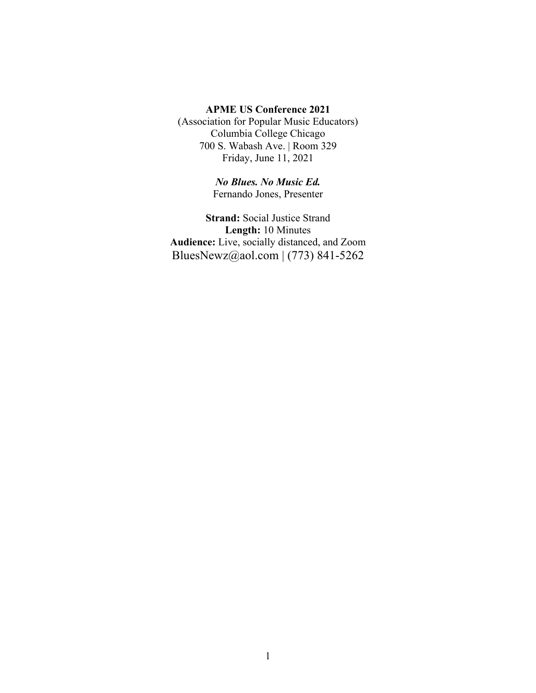#### **APME US Conference 2021**

(Association for Popular Music Educators) Columbia College Chicago 700 S. Wabash Ave. | Room 329 Friday, June 11, 2021

> *No Blues. No Music Ed.* Fernando Jones, Presenter

**Strand:** Social Justice Strand **Length:** 10 Minutes **Audience:** Live, socially distanced, and Zoom BluesNewz@aol.com | (773) 841-5262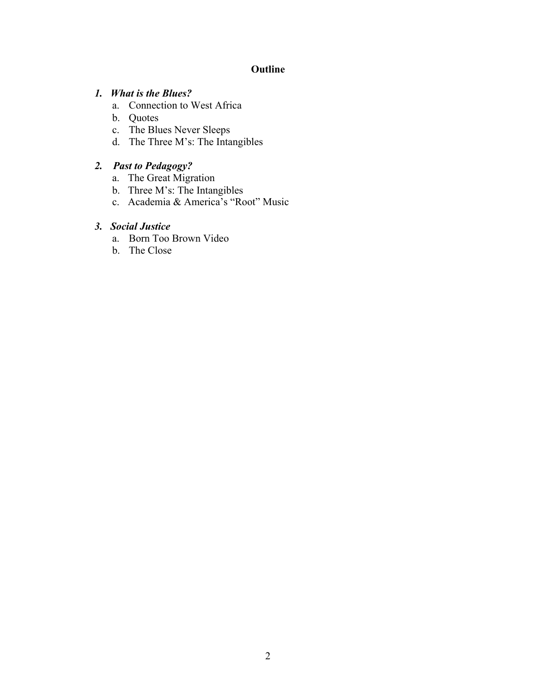## **Outline**

### *1. What is the Blues?*

- a. Connection to West Africa
- b. Quotes
- c. The Blues Never Sleeps
- d. The Three M's: The Intangibles

## *2. Past to Pedagogy?*

- a. The Great Migration
- b. Three M's: The Intangibles
- c. Academia & America's "Root" Music

## *3. Social Justice*

- a. Born Too Brown Video
- b. The Close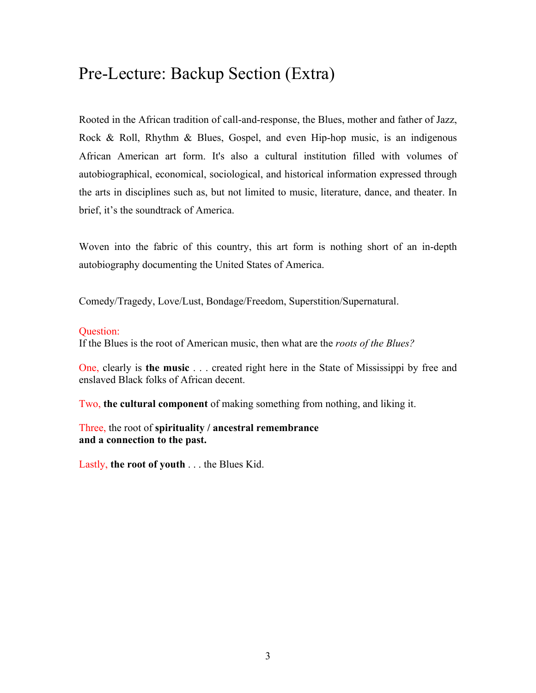# Pre-Lecture: Backup Section (Extra)

Rooted in the African tradition of call-and-response, the Blues, mother and father of Jazz, Rock & Roll, Rhythm & Blues, Gospel, and even Hip-hop music, is an indigenous African American art form. It's also a cultural institution filled with volumes of autobiographical, economical, sociological, and historical information expressed through the arts in disciplines such as, but not limited to music, literature, dance, and theater. In brief, it's the soundtrack of America.

Woven into the fabric of this country, this art form is nothing short of an in-depth autobiography documenting the United States of America.

Comedy/Tragedy, Love/Lust, Bondage/Freedom, Superstition/Supernatural.

#### Question:

If the Blues is the root of American music, then what are the *roots of the Blues?*

One, clearly is **the music** . . . created right here in the State of Mississippi by free and enslaved Black folks of African decent.

Two, **the cultural component** of making something from nothing, and liking it.

Three, the root of **spirituality / ancestral remembrance and a connection to the past.**

Lastly, **the root of youth** . . . the Blues Kid.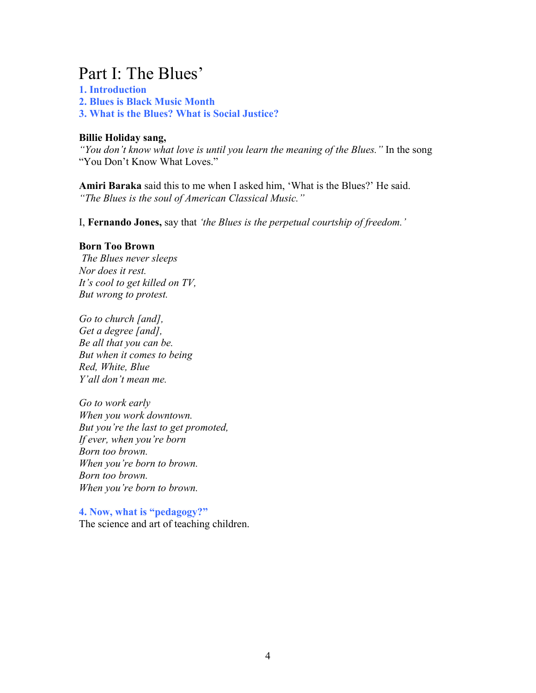# Part I: The Blues'

**1. Introduction 2. Blues is Black Music Month 3. What is the Blues? What is Social Justice?**

#### **Billie Holiday sang,**

*"You don't know what love is until you learn the meaning of the Blues."* In the song "You Don't Know What Loves."

**Amiri Baraka** said this to me when I asked him, 'What is the Blues?' He said. *"The Blues is the soul of American Classical Music."*

I, **Fernando Jones,** say that *'the Blues is the perpetual courtship of freedom.'*

#### **Born Too Brown**

*The Blues never sleeps Nor does it rest. It's cool to get killed on TV, But wrong to protest.*

*Go to church [and], Get a degree [and], Be all that you can be. But when it comes to being Red, White, Blue Y'all don't mean me.*

*Go to work early When you work downtown. But you're the last to get promoted, If ever, when you're born Born too brown. When you're born to brown. Born too brown. When you're born to brown.*

**4. Now, what is "pedagogy?"**  The science and art of teaching children.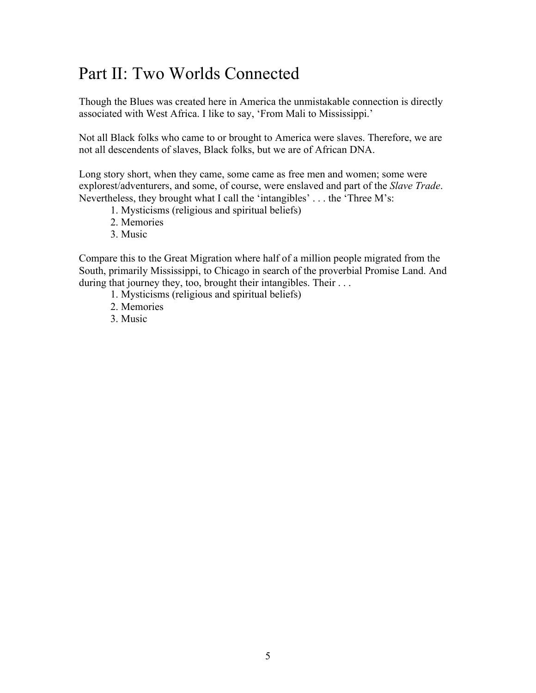# Part II: Two Worlds Connected

Though the Blues was created here in America the unmistakable connection is directly associated with West Africa. I like to say, 'From Mali to Mississippi.'

Not all Black folks who came to or brought to America were slaves. Therefore, we are not all descendents of slaves, Black folks, but we are of African DNA.

Long story short, when they came, some came as free men and women; some were explorest/adventurers, and some, of course, were enslaved and part of the *Slave Trade*. Nevertheless, they brought what I call the 'intangibles' . . . the 'Three M's:

- 1. Mysticisms (religious and spiritual beliefs)
- 2. Memories
- 3. Music

Compare this to the Great Migration where half of a million people migrated from the South, primarily Mississippi, to Chicago in search of the proverbial Promise Land. And during that journey they, too, brought their intangibles. Their . . .

- 1. Mysticisms (religious and spiritual beliefs)
- 2. Memories
- 3. Music